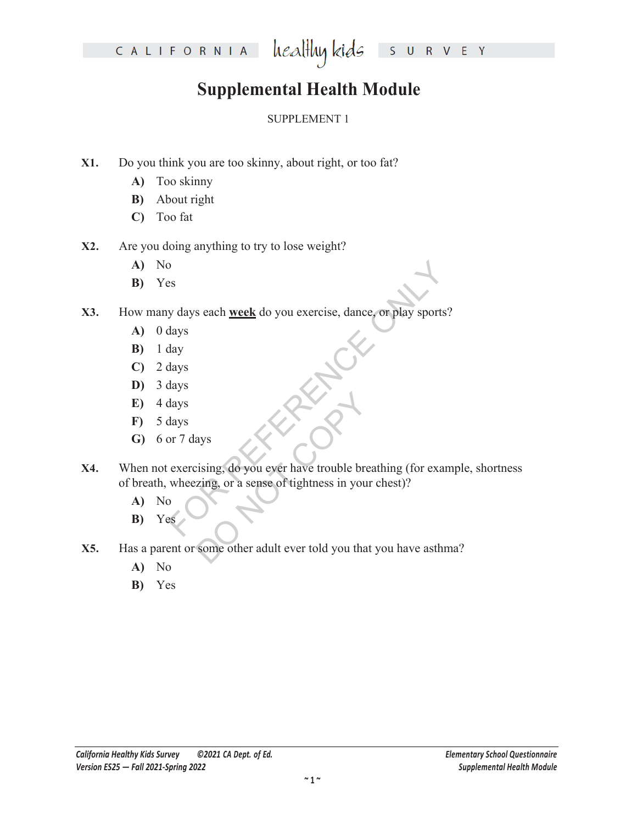#### healthy kids S U R V E Y

# **Supplemental Health Module**

### SUPPLEMENT 1

- **X1.** Do you think you are too skinny, about right, or too fat?
	- **A)** Too skinny
	- **B)** About right
	- **C)** Too fat
- **X2.** Are you doing anything to try to lose weight?
	- **A)** No
	- **B)** Yes
- **X3.** How many days each **week** do you exercise, dance, or play sports?
	- **A)** 0 days
	- **B)** 1 day
	- **C)** 2 days
	- **D)** 3 days
	- **E)** 4 days
	- **F)** 5 days
	- **G)** 6 or 7 days
- Sex y days each <u>week</u> do you exercise, dance, or play sports?<br>
Hays<br>
Hays<br>
Hays<br>
Hays<br>
Sexercising, do you ever have trouble breathing (for examenceing, or a sense of tightness in your chest)? ays<br>
eising, do you ever have trouble bre<br>
zing, or a sense of tightness in your<br>
some other adult ever told you that **X4.** When not exercising, do you ever have trouble breathing (for example, shortness of breath, wheezing, or a sense of tightness in your chest)?
	- **A)** No
	- **B)** Yes
- **X5.** Has a parent or some other adult ever told you that you have asthma?
	- **A)** No
	- **B)** Yes